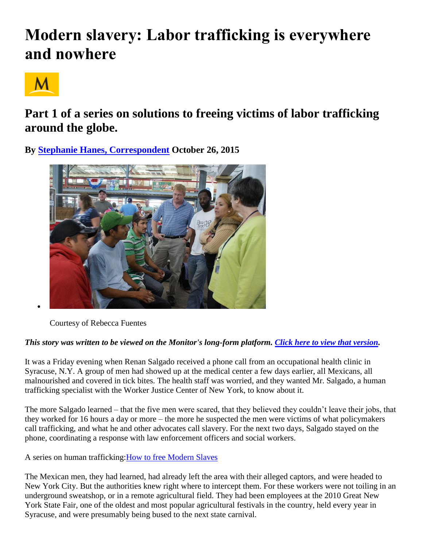# **Modern slavery: Labor trafficking is everywhere and nowhere**



# **Part 1 of a series on solutions to freeing victims of labor trafficking around the globe.**

**By [Stephanie Hanes, Correspondent](http://www.csmonitor.com/World/2015/1026/Modern-slavery-Labor-trafficking-is-everywhere-and-nowhere) October 26, 2015** 



Courtesy of Rebecca Fuentes

# *This story was written to be viewed on the Monitor's long-form platform. [Click here to view that version.](http://humantrafficking.csmonitor.com/labor-trafficking-overview)*

It was a Friday evening when Renan Salgado received a phone call from an occupational health clinic in Syracuse, N.Y. A group of men had showed up at the medical center a few days earlier, all Mexicans, all malnourished and covered in tick bites. The health staff was worried, and they wanted Mr. Salgado, a human trafficking specialist with the Worker Justice Center of New York, to know about it.

The more Salgado learned – that the five men were scared, that they believed they couldn't leave their jobs, that they worked for 16 hours a day or more – the more he suspected the men were victims of what policymakers call trafficking, and what he and other advocates call slavery. For the next two days, Salgado stayed on the phone, coordinating a response with law enforcement officers and social workers.

A series on human trafficking[:How to free Modern Slaves](http://www.csmonitor.com/World/Topics/Human-Trafficking-Series)

The Mexican men, they had learned, had already left the area with their alleged captors, and were headed to New York City. But the authorities knew right where to intercept them. For these workers were not toiling in an underground sweatshop, or in a remote agricultural field. They had been employees at the 2010 Great New York State Fair, one of the oldest and most popular agricultural festivals in the country, held every year in Syracuse, and were presumably being bused to the next state carnival.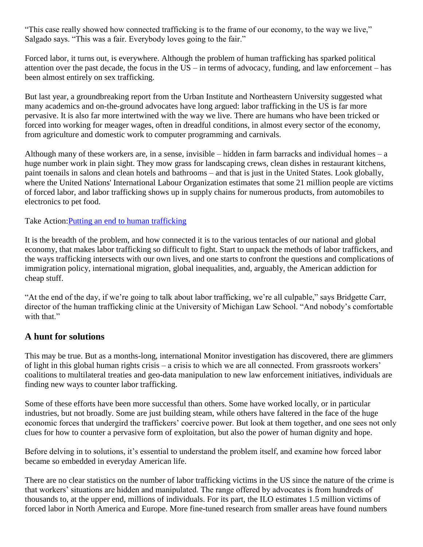"This case really showed how connected trafficking is to the frame of our economy, to the way we live," Salgado says. "This was a fair. Everybody loves going to the fair."

Forced labor, it turns out, is everywhere. Although the problem of human trafficking has sparked political attention over the past decade, the focus in the US – in terms of advocacy, funding, and law enforcement – has been almost entirely on sex trafficking.

But last year, a groundbreaking report from the Urban Institute and Northeastern University suggested what many academics and on-the-ground advocates have long argued: labor trafficking in the US is far more pervasive. It is also far more intertwined with the way we live. There are humans who have been tricked or forced into working for meager wages, often in dreadful conditions, in almost every sector of the economy, from agriculture and domestic work to computer programming and carnivals.

Although many of these workers are, in a sense, invisible – hidden in farm barracks and individual homes – a huge number work in plain sight. They mow grass for landscaping crews, clean dishes in restaurant kitchens, paint toenails in salons and clean hotels and bathrooms – and that is just in the United States. Look globally, where the United Nations' International Labour Organization estimates that some 21 million people are victims of forced labor, and labor trafficking shows up in supply chains for numerous products, from automobiles to electronics to pet food.

Take Action: Putting an end to human trafficking

It is the breadth of the problem, and how connected it is to the various tentacles of our national and global economy, that makes labor trafficking so difficult to fight. Start to unpack the methods of labor traffickers, and the ways trafficking intersects with our own lives, and one starts to confront the questions and complications of immigration policy, international migration, global inequalities, and, arguably, the American addiction for cheap stuff.

"At the end of the day, if we're going to talk about labor trafficking, we're all culpable," says Bridgette Carr, director of the human trafficking clinic at the University of Michigan Law School. "And nobody's comfortable with that."

#### **A hunt for solutions**

This may be true. But as a months-long, international Monitor investigation has discovered, there are glimmers of light in this global human rights crisis – a crisis to which we are all connected. From grassroots workers' coalitions to multilateral treaties and geo-data manipulation to new law enforcement initiatives, individuals are finding new ways to counter labor trafficking.

Some of these efforts have been more successful than others. Some have worked locally, or in particular industries, but not broadly. Some are just building steam, while others have faltered in the face of the huge economic forces that undergird the traffickers' coercive power. But look at them together, and one sees not only clues for how to counter a pervasive form of exploitation, but also the power of human dignity and hope.

Before delving in to solutions, it's essential to understand the problem itself, and examine how forced labor became so embedded in everyday American life.

There are no clear statistics on the number of labor trafficking victims in the US since the nature of the crime is that workers' situations are hidden and manipulated. The range offered by advocates is from hundreds of thousands to, at the upper end, millions of individuals. For its part, the ILO estimates 1.5 million victims of forced labor in North America and Europe. More fine-tuned research from smaller areas have found numbers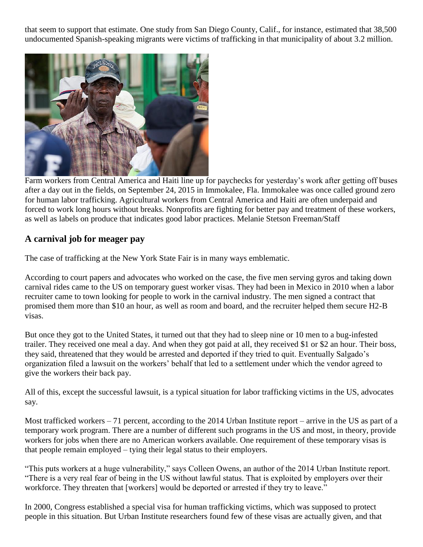that seem to support that estimate. One study from San Diego County, Calif., for instance, estimated that 38,500 undocumented Spanish-speaking migrants were victims of trafficking in that municipality of about 3.2 million.



Farm workers from Central America and Haiti line up for paychecks for yesterday's work after getting off buses after a day out in the fields, on September 24, 2015 in Immokalee, Fla. Immokalee was once called ground zero for human labor trafficking. Agricultural workers from Central America and Haiti are often underpaid and forced to work long hours without breaks. Nonprofits are fighting for better pay and treatment of these workers, as well as labels on produce that indicates good labor practices. Melanie Stetson Freeman/Staff

# **A carnival job for meager pay**

The case of trafficking at the New York State Fair is in many ways emblematic.

According to court papers and advocates who worked on the case, the five men serving gyros and taking down carnival rides came to the US on temporary guest worker visas. They had been in Mexico in 2010 when a labor recruiter came to town looking for people to work in the carnival industry. The men signed a contract that promised them more than \$10 an hour, as well as room and board, and the recruiter helped them secure H2-B visas.

But once they got to the United States, it turned out that they had to sleep nine or 10 men to a bug-infested trailer. They received one meal a day. And when they got paid at all, they received \$1 or \$2 an hour. Their boss, they said, threatened that they would be arrested and deported if they tried to quit. Eventually Salgado's organization filed a lawsuit on the workers' behalf that led to a settlement under which the vendor agreed to give the workers their back pay.

All of this, except the successful lawsuit, is a typical situation for labor trafficking victims in the US, advocates say.

Most trafficked workers – 71 percent, according to the 2014 Urban Institute report – arrive in the US as part of a temporary work program. There are a number of different such programs in the US and most, in theory, provide workers for jobs when there are no American workers available. One requirement of these temporary visas is that people remain employed – tying their legal status to their employers.

"This puts workers at a huge vulnerability," says Colleen Owens, an author of the 2014 Urban Institute report. "There is a very real fear of being in the US without lawful status. That is exploited by employers over their workforce. They threaten that [workers] would be deported or arrested if they try to leave."

In 2000, Congress established a special visa for human trafficking victims, which was supposed to protect people in this situation. But Urban Institute researchers found few of these visas are actually given, and that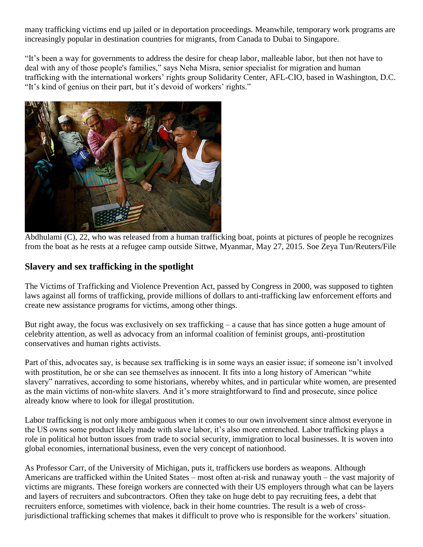many trafficking victims end up jailed or in deportation proceedings. Meanwhile, temporary work programs are increasingly popular in destination countries for migrants, from Canada to Dubai to Singapore.

"It's been a way for governments to address the desire for cheap labor, malleable labor, but then not have to deal with any of those people's families," says Neha Misra, senior specialist for migration and human trafficking with the international workers' rights group Solidarity Center, AFL-CIO, based in Washington, D.C. "It's kind of genius on their part, but it's devoid of workers' rights."



Abdhulami (C), 22, who was released from a human trafficking boat, points at pictures of people he recognizes from the boat as he rests at a refugee camp outside Sittwe, Myanmar, May 27, 2015. Soe Zeya Tun/Reuters/File

#### **Slavery and sex trafficking in the spotlight**

The Victims of Trafficking and Violence Prevention Act, passed by Congress in 2000, was supposed to tighten laws against all forms of trafficking, provide millions of dollars to anti-trafficking law enforcement efforts and create new assistance programs for victims, among other things.

But right away, the focus was exclusively on sex trafficking – a cause that has since gotten a huge amount of celebrity attention, as well as advocacy from an informal coalition of feminist groups, anti-prostitution conservatives and human rights activists.

Part of this, advocates say, is because sex trafficking is in some ways an easier issue; if someone isn't involved with prostitution, he or she can see themselves as innocent. It fits into a long history of American "white slavery" narratives, according to some historians, whereby whites, and in particular white women, are presented as the main victims of non-white slavers. And it's more straightforward to find and prosecute, since police already know where to look for illegal prostitution.

Labor trafficking is not only more ambiguous when it comes to our own involvement since almost everyone in the US owns some product likely made with slave labor, it's also more entrenched. Labor trafficking plays a role in political hot button issues from trade to social security, immigration to local businesses. It is woven into global economies, international business, even the very concept of nationhood.

As Professor Carr, of the University of Michigan, puts it, traffickers use borders as weapons. Although Americans are trafficked within the United States – most often at-risk and runaway youth – the vast majority of victims are migrants. These foreign workers are connected with their US employers through what can be layers and layers of recruiters and subcontractors. Often they take on huge debt to pay recruiting fees, a debt that recruiters enforce, sometimes with violence, back in their home countries. The result is a web of crossjurisdictional trafficking schemes that makes it difficult to prove who is responsible for the workers' situation.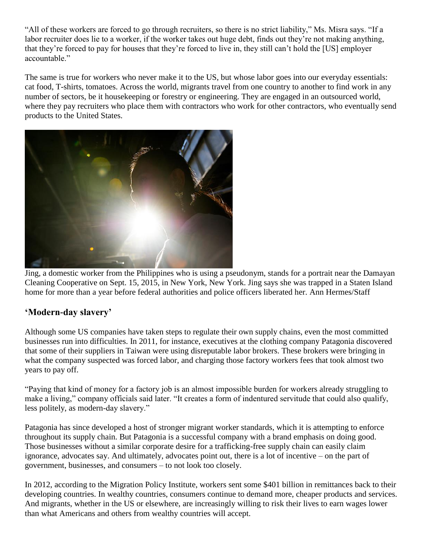"All of these workers are forced to go through recruiters, so there is no strict liability," Ms. Misra says. "If a labor recruiter does lie to a worker, if the worker takes out huge debt, finds out they're not making anything, that they're forced to pay for houses that they're forced to live in, they still can't hold the [US] employer accountable."

The same is true for workers who never make it to the US, but whose labor goes into our everyday essentials: cat food, T-shirts, tomatoes. Across the world, migrants travel from one country to another to find work in any number of sectors, be it housekeeping or forestry or engineering. They are engaged in an outsourced world, where they pay recruiters who place them with contractors who work for other contractors, who eventually send products to the United States.



Jing, a domestic worker from the Philippines who is using a pseudonym, stands for a portrait near the Damayan Cleaning Cooperative on Sept. 15, 2015, in New York, New York. Jing says she was trapped in a Staten Island home for more than a year before federal authorities and police officers liberated her. Ann Hermes/Staff

# **'Modern-day slavery'**

Although some US companies have taken steps to regulate their own supply chains, even the most committed businesses run into difficulties. In 2011, for instance, executives at the clothing company Patagonia discovered that some of their suppliers in Taiwan were using disreputable labor brokers. These brokers were bringing in what the company suspected was forced labor, and charging those factory workers fees that took almost two years to pay off.

"Paying that kind of money for a factory job is an almost impossible burden for workers already struggling to make a living," company officials said later. "It creates a form of indentured servitude that could also qualify, less politely, as modern-day slavery."

Patagonia has since developed a host of stronger migrant worker standards, which it is attempting to enforce throughout its supply chain. But Patagonia is a successful company with a brand emphasis on doing good. Those businesses without a similar corporate desire for a trafficking-free supply chain can easily claim ignorance, advocates say. And ultimately, advocates point out, there is a lot of incentive – on the part of government, businesses, and consumers – to not look too closely.

In 2012, according to the Migration Policy Institute, workers sent some \$401 billion in remittances back to their developing countries. In wealthy countries, consumers continue to demand more, cheaper products and services. And migrants, whether in the US or elsewhere, are increasingly willing to risk their lives to earn wages lower than what Americans and others from wealthy countries will accept.